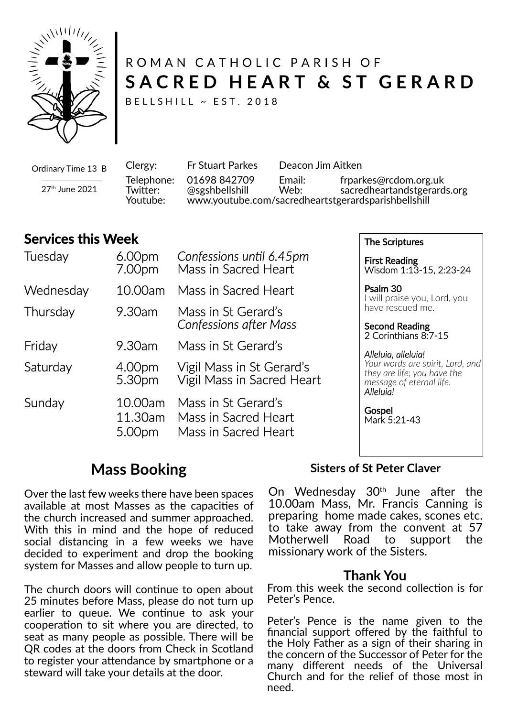

# ROMAN CATHOLIC PARISH OF SACRED HEART & ST GERARD

BELLSHILL ~ EST. 2018

Ordinary Time 13 B 27th June 2021

Clergy: Fr Stuart Parkes Deacon Jim Aitken Telephone: 01698 842709 Email: frparkes@rcdom.org.uk Twi�er: @sgshbellshill Web: sacredheartandstgerards.org Youtube: www.youtube.com/sacredheartstgerardsparishbellshill

### **Services this Week**

| Tuesday   | 6.00 <sub>pm</sub><br>7.00pm | Confessions until 6.45pm<br>Mass in Sacred Heart                    |
|-----------|------------------------------|---------------------------------------------------------------------|
| Wednesday | 10.00am                      | Mass in Sacred Heart                                                |
| Thursday  | 9.30am                       | Mass in St Gerard's<br><b>Confessions after Mass</b>                |
| Friday    | 9.30am                       | Mass in St Gerard's                                                 |
| Saturday  | 4.00pm<br>5.30pm             | Vigil Mass in St Gerard's<br>Vigil Mass in Sacred Heart             |
| Sunday    | 10.00am<br>11.30am<br>5.00pm | Mass in St Gerard's<br>Mass in Sacred Heart<br>Mass in Sacred Heart |

The Scriptures

First Reading Wisdom 1:13-15, 2:23-24

Psalm 30 I will praise you, Lord, you have rescued me.

Second Reading 2 Corinthians 8:7-15

*Alleluia, alleluia! Your words are spirit, Lord, and they are life; you have the message of eternal life. Alleluia!*

**Gospel** Mark 5:21-43

## **Mass Booking**

Over the last few weeks there have been spaces available at most Masses as the capacities of the church increased and summer approached. With this in mind and the hope of reduced social distancing in a few weeks we have decided to experiment and drop the booking system for Masses and allow people to turn up.

The church doors will continue to open about 25 minutes before Mass, please do not turn up earlier to queue. We continue to ask your cooperation to sit where you are directed, to seat as many people as possible. There will be QR codes at the doors from Check in Scotland to register your attendance by smartphone or a steward will take your details at the door.

#### **Sisters of St Peter Claver**

On Wednesday  $30<sup>th</sup>$  June after the 10.00am Mass, Mr. Francis Canning is preparing home made cakes, scones etc. to take away from the convent at 57<br>Motherwell Road to support the Motherwell Road to support the missionary work of the Sisters.

#### **Thank You**

From this week the second collection is for Peter's Pence.

Peter's Pence is the name given to the financial support offered by the faithful to the Holy Father as a sign of their sharing in the concern of the Successor of Peter for the many different needs of the Universal Church and for the relief of those most in need.